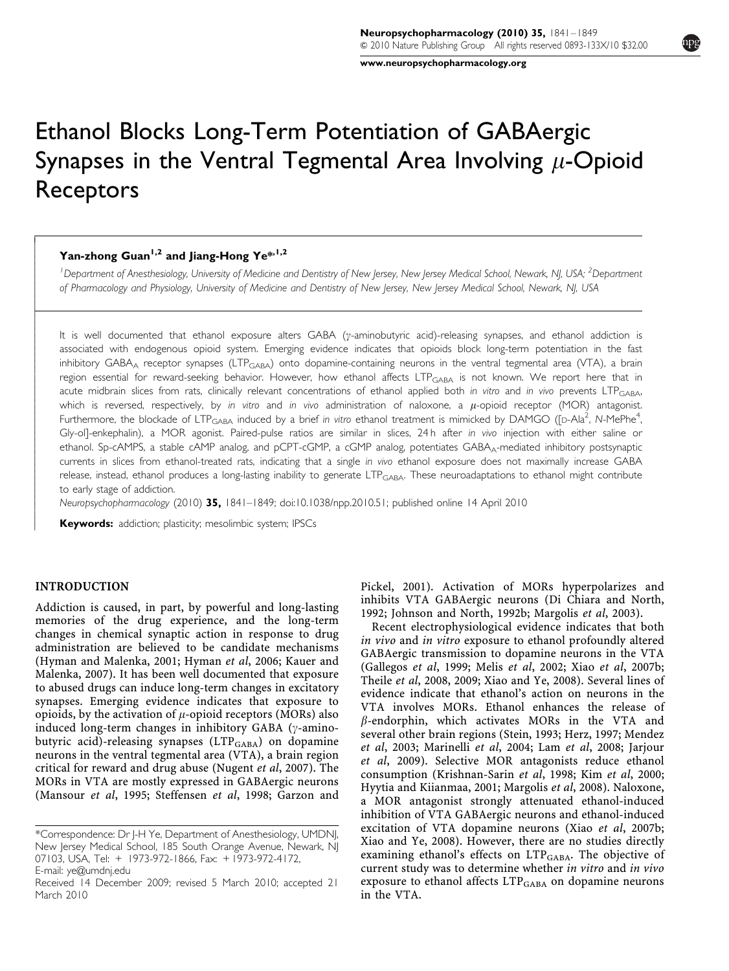[www.neuropsychopharmacology.org](http://www.neuropsychopharmacology.org)

# Ethanol Blocks Long-Term Potentiation of GABAergic Synapses in the Ventral Tegmental Area Involving  $\mu$ -Opioid Receptors

## Yan-zhong Guan<sup>1,2</sup> and Jiang-Hong Ye\*,<sup>1,2</sup>

<sup>1</sup> Department of Anesthesiology, University of Medicine and Dentistry of New Jersey, New Jersey Medical School, Newark, NJ, USA; <sup>2</sup>Department of Pharmacology and Physiology, University of Medicine and Dentistry of New Jersey, New Jersey Medical School, Newark, NJ, USA

It is well documented that ethanol exposure alters GABA (y-aminobutyric acid)-releasing synapses, and ethanol addiction is associated with endogenous opioid system. Emerging evidence indicates that opioids block long-term potentiation in the fast inhibitory GABA<sub>A</sub> receptor synapses (LTP<sub>GABA</sub>) onto dopamine-containing neurons in the ventral tegmental area (VTA), a brain region essential for reward-seeking behavior. However, how ethanol affects LTP<sub>GABA</sub> is not known. We report here that in acute midbrain slices from rats, clinically relevant concentrations of ethanol applied both in vitro and in vivo prevents LTPGABA, which is reversed, respectively, by in vitro and in vivo administration of naloxone, a  $\mu$ -opioid receptor (MOR) antagonist. Furthermore, the blockade of LTP<sub>GABA</sub> induced by a brief in vitro ethanol treatment is mimicked by DAMGO ([D-Ala<sup>2</sup>, N-MePhe<sup>4</sup> , Gly-ol]-enkephalin), a MOR agonist. Paired-pulse ratios are similar in slices, 24h after in vivo injection with either saline or ethanol. Sp-cAMPS, a stable cAMP analog, and pCPT-cGMP, a cGMP analog, potentiates GABA<sub>A</sub>-mediated inhibitory postsynaptic currents in slices from ethanol-treated rats, indicating that a single in vivo ethanol exposure does not maximally increase GABA release, instead, ethanol produces a long-lasting inability to generate LTP<sub>GABA</sub>. These neuroadaptations to ethanol might contribute to early stage of addiction.

Neuropsychopharmacology (2010) 35, 1841–1849; doi[:10.1038/npp.2010.51;](http://dx.doi.org/10.1038/npp.2010.51) published online 14 April 2010

Keywords: addiction; plasticity; mesolimbic system; IPSCs

#### INTRODUCTION

------------1 -----------------------------

> Addiction is caused, in part, by powerful and long-lasting memories of the drug experience, and the long-term changes in chemical synaptic action in response to drug administration are believed to be candidate mechanisms [\(Hyman and Malenka, 2001](#page-7-0); [Hyman](#page-7-0) et al, 2006; [Kauer and](#page-7-0) [Malenka, 2007\)](#page-7-0). It has been well documented that exposure to abused drugs can induce long-term changes in excitatory synapses. Emerging evidence indicates that exposure to opioids, by the activation of  $\mu$ -opioid receptors (MORs) also induced long-term changes in inhibitory GABA ( $\gamma$ -aminobutyric acid)-releasing synapses (LTP<sub>GABA</sub>) on dopamine neurons in the ventral tegmental area (VTA), a brain region critical for reward and drug abuse ([Nugent](#page-8-0) et al, 2007). The MORs in VTA are mostly expressed in GABAergic neurons [\(Mansour](#page-7-0) et al, 1995; [Steffensen](#page-8-0) et al, 1998; [Garzon and](#page-7-0)

[Pickel, 2001](#page-7-0)). Activation of MORs hyperpolarizes and inhibits VTA GABAergic neurons ([Di Chiara and North,](#page-7-0) [1992; Johnson and North, 1992b; Margolis](#page-7-0) et al, 2003).

Recent electrophysiological evidence indicates that both in vivo and in vitro exposure to ethanol profoundly altered GABAergic transmission to dopamine neurons in the VTA [\(Gallegos](#page-7-0) et al, 1999; Melis et al[, 2002](#page-7-0); Xiao et al[, 2007b;](#page-8-0) Theile et al[, 2008, 2009](#page-8-0); [Xiao and Ye, 2008](#page-8-0)). Several lines of evidence indicate that ethanol's action on neurons in the VTA involves MORs. Ethanol enhances the release of  $\beta$ -endorphin, which activates MORs in the VTA and several other brain regions ([Stein, 1993](#page-8-0); [Herz, 1997](#page-7-0); [Mendez](#page-7-0) et al[, 2003; Marinelli](#page-7-0) et al, 2004; Lam et al[, 2008](#page-7-0); [Jarjour](#page-7-0) et al[, 2009\)](#page-7-0). Selective MOR antagonists reduce ethanol consumption ([Krishnan-Sarin](#page-7-0) et al, 1998; Kim et al[, 2000;](#page-7-0) [Hyytia and Kiianmaa, 2001; Margolis](#page-7-0) et al, 2008). Naloxone, a MOR antagonist strongly attenuated ethanol-induced inhibition of VTA GABAergic neurons and ethanol-induced excitation of VTA dopamine neurons (Xiao et al[, 2007b;](#page-8-0) [Xiao and Ye, 2008\)](#page-8-0). However, there are no studies directly examining ethanol's effects on LTP<sub>GABA</sub>. The objective of current study was to determine whether in vitro and in vivo exposure to ethanol affects  $LTP_{GABA}$  on dopamine neurons in the VTA.

<sup>\*</sup>Correspondence: Dr J-H Ye, Department of Anesthesiology, UMDNJ, New Jersey Medical School, 185 South Orange Avenue, Newark, NJ 07103, USA, Tel: + 1973-972-1866, Fax: +1973-972-4172, E-mail: [ye@umdnj.edu](mailto:ye@umdnj.edu)

Received 14 December 2009; revised 5 March 2010; accepted 21 March 2010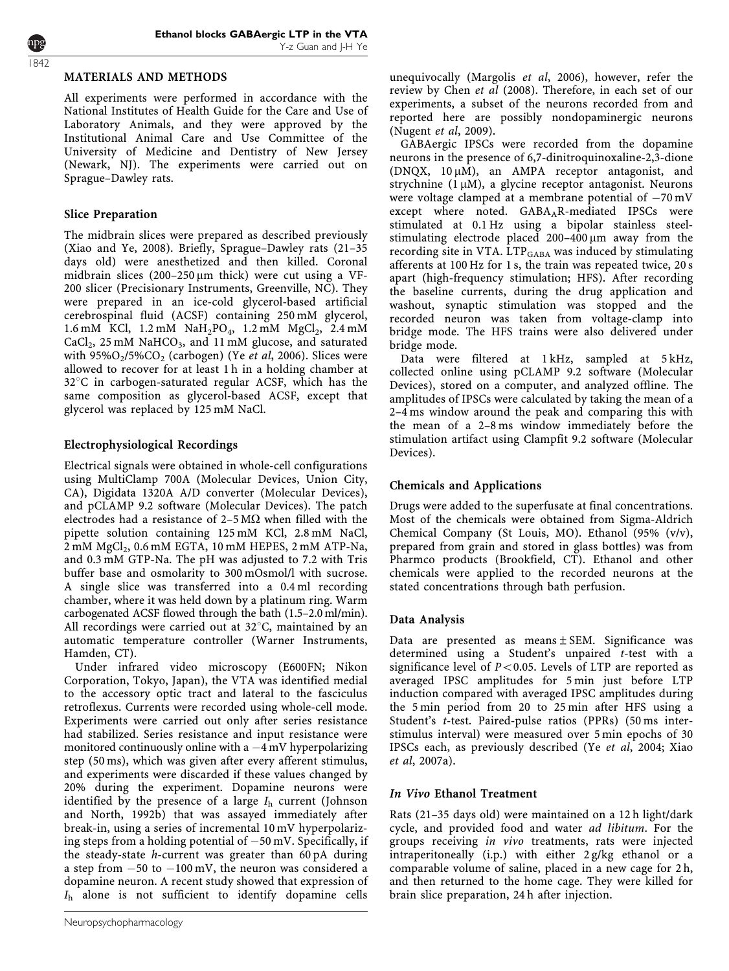## MATERIALS AND METHODS

All experiments were performed in accordance with the National Institutes of Health Guide for the Care and Use of Laboratory Animals, and they were approved by the Institutional Animal Care and Use Committee of the University of Medicine and Dentistry of New Jersey (Newark, NJ). The experiments were carried out on Sprague–Dawley rats.

## Slice Preparation

The midbrain slices were prepared as described previously ([Xiao and Ye, 2008\)](#page-8-0). Briefly, Sprague–Dawley rats (21–35 days old) were anesthetized and then killed. Coronal midbrain slices  $(200-250 \,\mu m)$  thick) were cut using a VF-200 slicer (Precisionary Instruments, Greenville, NC). They were prepared in an ice-cold glycerol-based artificial cerebrospinal fluid (ACSF) containing 250 mM glycerol, 1.6 mM KCl,  $1.2$  mM NaH<sub>2</sub>PO<sub>4</sub>,  $1.2$  mM MgCl<sub>2</sub>,  $2.4$  mM  $CaCl<sub>2</sub>$ , 25 mM NaHCO<sub>3</sub>, and 11 mM glucose, and saturated with  $95\%O_2/5\%CO_2$  (carbogen) (Ye *et al*[, 2006](#page-8-0)). Slices were allowed to recover for at least 1 h in a holding chamber at  $32^{\circ}$ C in carbogen-saturated regular ACSF, which has the same composition as glycerol-based ACSF, except that glycerol was replaced by 125 mM NaCl.

# Electrophysiological Recordings

Electrical signals were obtained in whole-cell configurations using MultiClamp 700A (Molecular Devices, Union City, CA), Digidata 1320A A/D converter (Molecular Devices), and pCLAMP 9.2 software (Molecular Devices). The patch electrodes had a resistance of  $2-5 \text{ M}\Omega$  when filled with the pipette solution containing 125 mM KCl, 2.8 mM NaCl,  $2 \text{ mM } MgCl<sub>2</sub>$ , 0.6 mM EGTA, 10 mM HEPES, 2 mM ATP-Na, and 0.3 mM GTP-Na. The pH was adjusted to 7.2 with Tris buffer base and osmolarity to 300 mOsmol/l with sucrose. A single slice was transferred into a 0.4 ml recording chamber, where it was held down by a platinum ring. Warm carbogenated ACSF flowed through the bath (1.5–2.0 ml/min). All recordings were carried out at  $32^{\circ}$ C, maintained by an automatic temperature controller (Warner Instruments, Hamden, CT).

Under infrared video microscopy (E600FN; Nikon Corporation, Tokyo, Japan), the VTA was identified medial to the accessory optic tract and lateral to the fasciculus retroflexus. Currents were recorded using whole-cell mode. Experiments were carried out only after series resistance had stabilized. Series resistance and input resistance were monitored continuously online with a  $-4\,\mathrm{mV}$  hyperpolarizing step (50 ms), which was given after every afferent stimulus, and experiments were discarded if these values changed by 20% during the experiment. Dopamine neurons were identified by the presence of a large  $I<sub>h</sub>$  current [\(Johnson](#page-7-0) [and North, 1992b\)](#page-7-0) that was assayed immediately after break-in, using a series of incremental 10 mV hyperpolarizing steps from a holding potential of  $-50\,\mathrm{mV}.$  Specifically, if the steady-state h-current was greater than 60 pA during a step from -50 to -100 mV, the neuron was considered a dopamine neuron. A recent study showed that expression of  $I<sub>h</sub>$  alone is not sufficient to identify dopamine cells

unequivocally [\(Margolis](#page-7-0) et al, 2006), however, refer the review by Chen et al [\(2008\)](#page-7-0). Therefore, in each set of our experiments, a subset of the neurons recorded from and reported here are possibly nondopaminergic neurons ([Nugent](#page-8-0) et al, 2009).

GABAergic IPSCs were recorded from the dopamine neurons in the presence of 6,7-dinitroquinoxaline-2,3-dione (DNQX,  $10 \mu M$ ), an AMPA receptor antagonist, and strychnine  $(1 \mu M)$ , a glycine receptor antagonist. Neurons were voltage clamped at a membrane potential of  $-70\,\mathrm{mV}$ except where noted. GABA<sub>A</sub>R-mediated IPSCs were stimulated at 0.1 Hz using a bipolar stainless steelstimulating electrode placed  $200-400 \mu m$  away from the recording site in VTA. LTP<sub>GABA</sub> was induced by stimulating afferents at 100 Hz for 1 s, the train was repeated twice, 20 s apart (high-frequency stimulation; HFS). After recording the baseline currents, during the drug application and washout, synaptic stimulation was stopped and the recorded neuron was taken from voltage-clamp into bridge mode. The HFS trains were also delivered under bridge mode.

Data were filtered at 1 kHz, sampled at 5 kHz, collected online using pCLAMP 9.2 software (Molecular Devices), stored on a computer, and analyzed offline. The amplitudes of IPSCs were calculated by taking the mean of a 2–4 ms window around the peak and comparing this with the mean of a 2–8 ms window immediately before the stimulation artifact using Clampfit 9.2 software (Molecular Devices).

## Chemicals and Applications

Drugs were added to the superfusate at final concentrations. Most of the chemicals were obtained from Sigma-Aldrich Chemical Company (St Louis, MO). Ethanol (95% (v/v), prepared from grain and stored in glass bottles) was from Pharmco products (Brookfield, CT). Ethanol and other chemicals were applied to the recorded neurons at the stated concentrations through bath perfusion.

# Data Analysis

Data are presented as means  $\pm$  SEM. Significance was determined using a Student's unpaired t-test with a significance level of  $P < 0.05$ . Levels of LTP are reported as averaged IPSC amplitudes for 5 min just before LTP induction compared with averaged IPSC amplitudes during the 5 min period from 20 to 25 min after HFS using a Student's t-test. Paired-pulse ratios (PPRs) (50 ms interstimulus interval) were measured over 5 min epochs of 30 IPSCs each, as previously described (Ye et al[, 2004; Xiao](#page-8-0) et al[, 2007a](#page-8-0)).

## In Vivo Ethanol Treatment

Rats (21–35 days old) were maintained on a 12 h light/dark cycle, and provided food and water ad libitum. For the groups receiving in vivo treatments, rats were injected intraperitoneally (i.p.) with either 2 g/kg ethanol or a comparable volume of saline, placed in a new cage for 2 h, and then returned to the home cage. They were killed for brain slice preparation, 24 h after injection.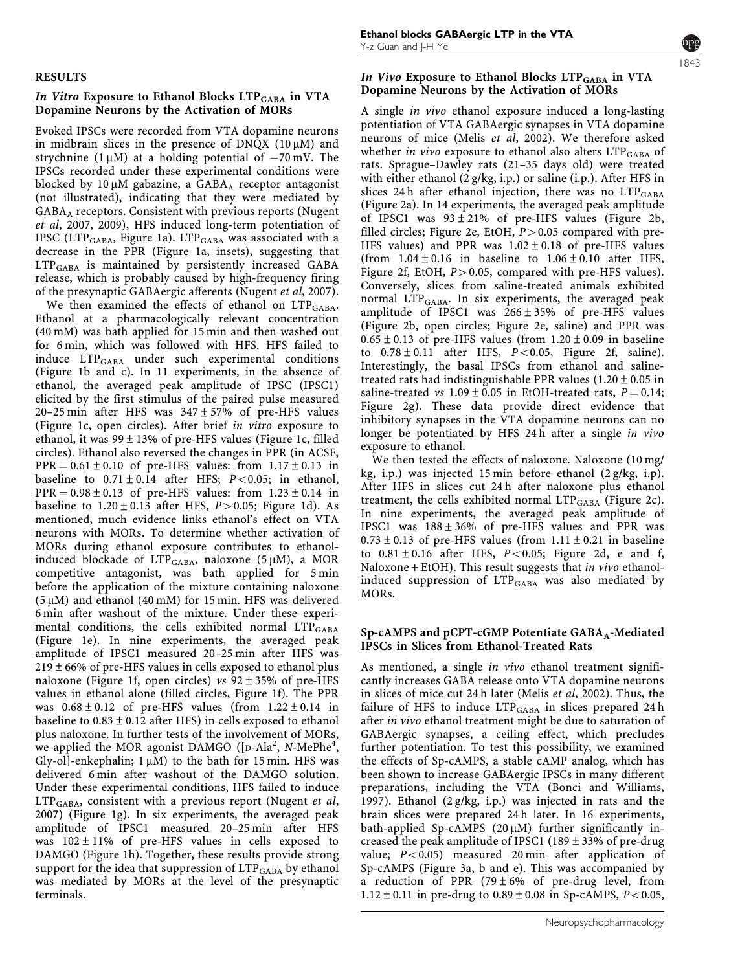#### RESULTS

## In Vitro Exposure to Ethanol Blocks LTP<sub>GABA</sub> in VTA Dopamine Neurons by the Activation of MORs

Evoked IPSCs were recorded from VTA dopamine neurons in midbrain slices in the presence of DNQX ( $10 \mu$ M) and strychnine (1 $\mu$ M) at a holding potential of  $-70$  mV. The IPSCs recorded under these experimental conditions were blocked by  $10 \mu$ M gabazine, a GABA<sub>A</sub> receptor antagonist (not illustrated), indicating that they were mediated by GABAA receptors. Consistent with previous reports ([Nugent](#page-8-0) et al[, 2007, 2009](#page-8-0)), HFS induced long-term potentiation of IPSC (LTP<sub>GABA</sub>, [Figure 1a](#page-4-0)). LTP<sub>GABA</sub> was associated with a decrease in the PPR ([Figure 1a,](#page-4-0) insets), suggesting that LTPGABA is maintained by persistently increased GABA release, which is probably caused by high-frequency firing of the presynaptic GABAergic afferents [\(Nugent](#page-8-0) et al, 2007).

We then examined the effects of ethanol on  $LTP_{\rm GABA}$ . Ethanol at a pharmacologically relevant concentration (40 mM) was bath applied for 15 min and then washed out for 6 min, which was followed with HFS. HFS failed to induce LTPGABA under such experimental conditions [\(Figure 1b and c](#page-4-0)). In 11 experiments, in the absence of ethanol, the averaged peak amplitude of IPSC (IPSC1) elicited by the first stimulus of the paired pulse measured 20–25 min after HFS was  $347 \pm 57\%$  of pre-HFS values [\(Figure 1c](#page-4-0), open circles). After brief in vitro exposure to ethanol, it was  $99 \pm 13\%$  of pre-HFS values [\(Figure 1c,](#page-4-0) filled circles). Ethanol also reversed the changes in PPR (in ACSF,  $PPR = 0.61 \pm 0.10$  of pre-HFS values: from  $1.17 \pm 0.13$  in baseline to  $0.71 \pm 0.14$  after HFS;  $P < 0.05$ ; in ethanol,  $PPR = 0.98 \pm 0.13$  of pre-HFS values: from  $1.23 \pm 0.14$  in baseline to  $1.20 \pm 0.13$  after HFS,  $P > 0.05$ ; [Figure 1d\)](#page-4-0). As mentioned, much evidence links ethanol's effect on VTA neurons with MORs. To determine whether activation of MORs during ethanol exposure contributes to ethanolinduced blockade of  $LTP_{GABA}$ , naloxone (5 µM), a MOR competitive antagonist, was bath applied for 5 min before the application of the mixture containing naloxone  $(5 \mu M)$  and ethanol (40 mM) for 15 min. HFS was delivered 6 min after washout of the mixture. Under these experimental conditions, the cells exhibited normal  $\text{LTP}_{\text{GABA}}$ [\(Figure 1e\)](#page-4-0). In nine experiments, the averaged peak amplitude of IPSC1 measured 20–25 min after HFS was  $219 \pm 66$ % of pre-HFS values in cells exposed to ethanol plus naloxone [\(Figure 1f](#page-4-0), open circles) vs  $92 \pm 35$ % of pre-HFS values in ethanol alone (filled circles, [Figure 1f\)](#page-4-0). The PPR was  $0.68 \pm 0.12$  of pre-HFS values (from  $1.22 \pm 0.14$  in baseline to  $0.83 \pm 0.12$  after HFS) in cells exposed to ethanol plus naloxone. In further tests of the involvement of MORs, we applied the MOR agonist DAMGO ([D-Ala<sup>2</sup>, N-MePhe<sup>4</sup>, Gly-ol]-enkephalin;  $1 \mu M$ ) to the bath for 15 min. HFS was delivered 6 min after washout of the DAMGO solution. Under these experimental conditions, HFS failed to induce  $LTP_{GABA}$ , consistent with a previous report [\(Nugent](#page-8-0) *et al*, [2007\)](#page-8-0) ([Figure 1g](#page-4-0)). In six experiments, the averaged peak amplitude of IPSC1 measured 20–25 min after HFS was  $102 \pm 11\%$  of pre-HFS values in cells exposed to DAMGO [\(Figure 1h](#page-4-0)). Together, these results provide strong support for the idea that suppression of  $\text{LTP}_{\text{GABA}}$  by ethanol was mediated by MORs at the level of the presynaptic terminals.

## In Vivo Exposure to Ethanol Blocks LTP<sub>GABA</sub> in VTA Dopamine Neurons by the Activation of MORs

A single in vivo ethanol exposure induced a long-lasting potentiation of VTA GABAergic synapses in VTA dopamine neurons of mice (Melis et al[, 2002\)](#page-7-0). We therefore asked whether in vivo exposure to ethanol also alters  $LTP_{GABA}$  of rats. Sprague–Dawley rats (21–35 days old) were treated with either ethanol (2 g/kg, i.p.) or saline (i.p.). After HFS in slices 24 h after ethanol injection, there was no  $LTP_{\rm GABA}$ [\(Figure 2a\)](#page-5-0). In 14 experiments, the averaged peak amplitude of IPSC1 was  $93 \pm 21\%$  of pre-HFS values ([Figure 2b,](#page-5-0) filled circles; [Figure 2e,](#page-5-0) EtOH,  $P > 0.05$  compared with pre-HFS values) and PPR was  $1.02 \pm 0.18$  of pre-HFS values (from  $1.04 \pm 0.16$  in baseline to  $1.06 \pm 0.10$  after HFS, [Figure 2f,](#page-5-0) EtOH,  $P > 0.05$ , compared with pre-HFS values). Conversely, slices from saline-treated animals exhibited normal  $LTP_{GABA}$ . In six experiments, the averaged peak amplitude of IPSC1 was 266±35% of pre-HFS values [\(Figure 2b,](#page-5-0) open circles; [Figure 2e,](#page-5-0) saline) and PPR was  $0.65 \pm 0.13$  of pre-HFS values (from  $1.20 \pm 0.09$  in baseline to  $0.78 \pm 0.11$  after HFS,  $P < 0.05$ , [Figure 2f,](#page-5-0) saline). Interestingly, the basal IPSCs from ethanol and salinetreated rats had indistinguishable PPR values  $(1.20 \pm 0.05 \text{ in}$ saline-treated vs  $1.09 \pm 0.05$  in EtOH-treated rats,  $P = 0.14$ ; [Figure 2g\)](#page-5-0). These data provide direct evidence that inhibitory synapses in the VTA dopamine neurons can no longer be potentiated by HFS 24h after a single in vivo exposure to ethanol.

We then tested the effects of naloxone. Naloxone (10 mg/ kg, i.p.) was injected 15 min before ethanol (2 g/kg, i.p). After HFS in slices cut 24 h after naloxone plus ethanol treatment, the cells exhibited normal  $LTP_{\text{GABA}}$  ([Figure 2c\)](#page-5-0). In nine experiments, the averaged peak amplitude of IPSC1 was  $188 \pm 36\%$  of pre-HFS values and PPR was  $0.73 \pm 0.13$  of pre-HFS values (from  $1.11 \pm 0.21$  in baseline to  $0.81 \pm 0.16$  after HFS,  $P < 0.05$ ; [Figure 2d, e and f,](#page-5-0) Naloxone + EtOH). This result suggests that in vivo ethanolinduced suppression of  $LTP_{GABA}$  was also mediated by MORs.

#### Sp-cAMPS and pCPT-cGMP Potentiate  $GABA_A$ -Mediated IPSCs in Slices from Ethanol-Treated Rats

As mentioned, a single in vivo ethanol treatment significantly increases GABA release onto VTA dopamine neurons in slices of mice cut 24 h later (Melis et al[, 2002\)](#page-7-0). Thus, the failure of HFS to induce  $LTP_{\text{GABA}}$  in slices prepared 24 h after in vivo ethanol treatment might be due to saturation of GABAergic synapses, a ceiling effect, which precludes further potentiation. To test this possibility, we examined the effects of Sp-cAMPS, a stable cAMP analog, which has been shown to increase GABAergic IPSCs in many different preparations, including the VTA [\(Bonci and Williams,](#page-7-0) [1997\)](#page-7-0). Ethanol (2 g/kg, i.p.) was injected in rats and the brain slices were prepared 24 h later. In 16 experiments, bath-applied Sp-cAMPS (20  $\mu$ M) further significantly increased the peak amplitude of IPSC1 (189 $\pm$ 33% of pre-drug value;  $P < 0.05$ ) measured 20 min after application of Sp-cAMPS ([Figure 3a, b and e\)](#page-6-0). This was accompanied by a reduction of PPR (79 $\pm$ 6% of pre-drug level, from  $1.12 \pm 0.11$  in pre-drug to  $0.89 \pm 0.08$  in Sp-cAMPS,  $P < 0.05$ ,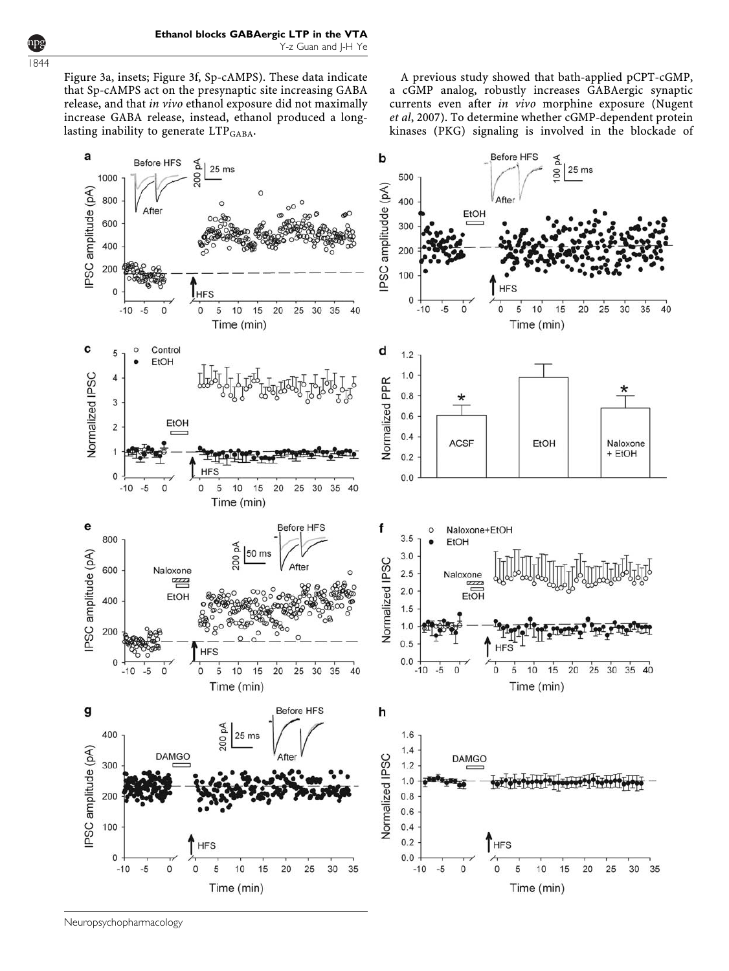[Figure 3a,](#page-6-0) insets; [Figure 3f](#page-6-0), Sp-cAMPS). These data indicate that Sp-cAMPS act on the presynaptic site increasing GABA release, and that in vivo ethanol exposure did not maximally increase GABA release, instead, ethanol produced a longlasting inability to generate LTP<sub>GABA</sub>.

A previous study showed that bath-applied pCPT-cGMP, a cGMP analog, robustly increases GABAergic synaptic currents even after in vivo morphine exposure [\(Nugent](#page-8-0) et al[, 2007\)](#page-8-0). To determine whether cGMP-dependent protein kinases (PKG) signaling is involved in the blockade of



Neuropsychopharmacology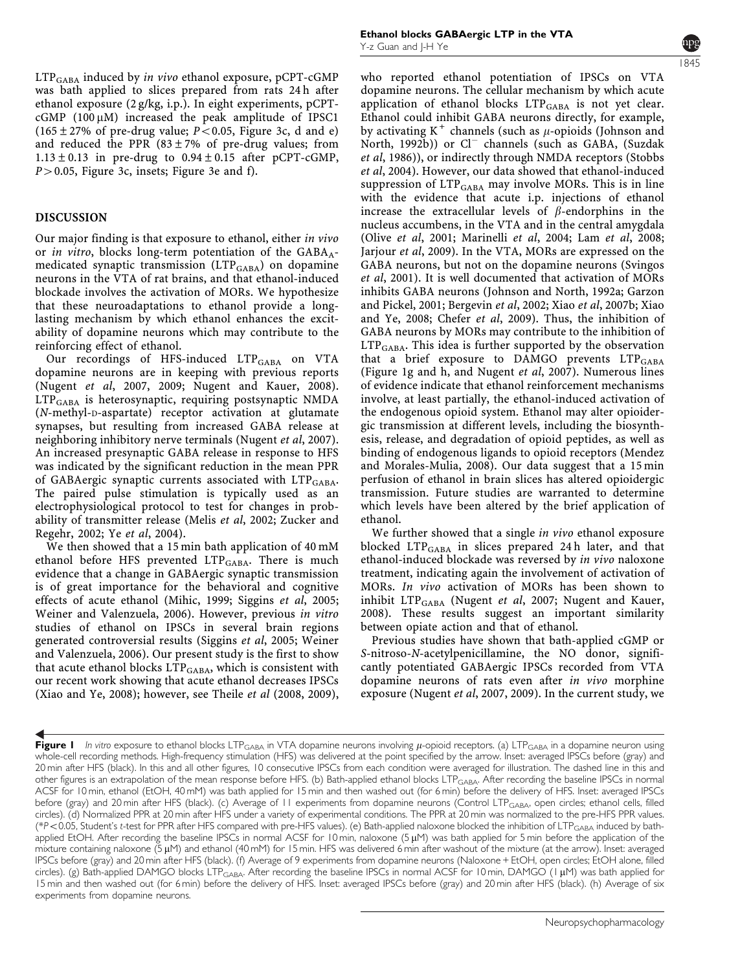<span id="page-4-0"></span>LTP<sub>GABA</sub> induced by in vivo ethanol exposure, pCPT-cGMP was bath applied to slices prepared from rats 24 h after ethanol exposure (2 g/kg, i.p.). In eight experiments, pCPT $cGMP$  (100  $\mu$ M) increased the peak amplitude of IPSC1 (165 $\pm$ 27% of pre-drug value; P<0.05, [Figure 3c, d and e](#page-6-0)) and reduced the PPR  $(83 \pm 7\%)$  of pre-drug values; from  $1.13 \pm 0.13$  in pre-drug to  $0.94 \pm 0.15$  after pCPT-cGMP,  $P > 0.05$ , [Figure 3c,](#page-6-0) insets; [Figure 3e and f\)](#page-6-0).

#### DISCUSSION

Our major finding is that exposure to ethanol, either in vivo or *in vitro*, blocks long-term potentiation of the  $GABA_A$ medicated synaptic transmission  $(LTP<sub>GABA</sub>)$  on dopamine neurons in the VTA of rat brains, and that ethanol-induced blockade involves the activation of MORs. We hypothesize that these neuroadaptations to ethanol provide a longlasting mechanism by which ethanol enhances the excitability of dopamine neurons which may contribute to the reinforcing effect of ethanol.

Our recordings of HFS-induced LTP<sub>GABA</sub> on VTA dopamine neurons are in keeping with previous reports (Nugent et al[, 2007, 2009; Nugent and Kauer, 2008\)](#page-8-0). LTPGABA is heterosynaptic, requiring postsynaptic NMDA (N-methyl-D-aspartate) receptor activation at glutamate synapses, but resulting from increased GABA release at neighboring inhibitory nerve terminals [\(Nugent](#page-8-0) et al, 2007). An increased presynaptic GABA release in response to HFS was indicated by the significant reduction in the mean PPR of GABAergic synaptic currents associated with LTP<sub>GABA</sub>. The paired pulse stimulation is typically used as an electrophysiological protocol to test for changes in probability of transmitter release (Melis et al[, 2002](#page-7-0); [Zucker and](#page-8-0) [Regehr, 2002;](#page-8-0) Ye et al[, 2004\)](#page-8-0).

We then showed that a 15 min bath application of 40 mM ethanol before HFS prevented  $LTP_{\text{GABA}}$ . There is much evidence that a change in GABAergic synaptic transmission is of great importance for the behavioral and cognitive effects of acute ethanol ([Mihic, 1999; Siggins](#page-8-0) et al, 2005; [Weiner and Valenzuela, 2006\)](#page-8-0). However, previous in vitro studies of ethanol on IPSCs in several brain regions generated controversial results [\(Siggins](#page-8-0) et al, 2005; [Weiner](#page-8-0) [and Valenzuela, 2006\)](#page-8-0). Our present study is the first to show that acute ethanol blocks  $LTP_{GABA}$ , which is consistent with our recent work showing that acute ethanol decreases IPSCs [\(Xiao and Ye, 2008](#page-8-0)); however, see Theile et al [\(2008, 2009\),](#page-8-0)

who reported ethanol potentiation of IPSCs on VTA dopamine neurons. The cellular mechanism by which acute application of ethanol blocks  $LTP_{\text{GABA}}$  is not yet clear. Ethanol could inhibit GABA neurons directly, for example, by activating  $K^+$  channels (such as  $\mu$ -opioids [\(Johnson and](#page-7-0) [North, 1992b\)](#page-7-0)) or Cl<sup>-</sup> channels (such as GABA, [\(Suzdak](#page-8-0) et al[, 1986\)](#page-8-0)), or indirectly through NMDA receptors [\(Stobbs](#page-8-0) et al[, 2004](#page-8-0)). However, our data showed that ethanol-induced suppression of LTP<sub>GABA</sub> may involve MORs. This is in line with the evidence that acute i.p. injections of ethanol increase the extracellular levels of  $\beta$ -endorphins in the nucleus accumbens, in the VTA and in the central amygdala (Olive et al[, 2001](#page-8-0); [Marinelli](#page-7-0) et al, 2004; Lam et al[, 2008;](#page-7-0) [Jarjour](#page-7-0) et al, 2009). In the VTA, MORs are expressed on the GABA neurons, but not on the dopamine neurons (Svingos et al, 2001). It is well documented that activation of MORs inhibits GABA neurons [\(Johnson and North, 1992a](#page-7-0); [Garzon](#page-7-0) [and Pickel, 2001](#page-7-0); [Bergevin](#page-7-0) et al, 2002; Xiao et al[, 2007b](#page-8-0); [Xiao](#page-8-0) [and Ye, 2008;](#page-8-0) [Chefer](#page-7-0) et al, 2009). Thus, the inhibition of GABA neurons by MORs may contribute to the inhibition of  $LTP_{\rm GABA}$ . This idea is further supported by the observation that a brief exposure to DAMGO prevents LTP<sub>GABA</sub> (Figure 1g and h, and [Nugent](#page-8-0) et al, 2007). Numerous lines of evidence indicate that ethanol reinforcement mechanisms involve, at least partially, the ethanol-induced activation of the endogenous opioid system. Ethanol may alter opioidergic transmission at different levels, including the biosynthesis, release, and degradation of opioid peptides, as well as binding of endogenous ligands to opioid receptors [\(Mendez](#page-8-0) [and Morales-Mulia, 2008](#page-8-0)). Our data suggest that a 15 min perfusion of ethanol in brain slices has altered opioidergic transmission. Future studies are warranted to determine which levels have been altered by the brief application of ethanol.

We further showed that a single *in vivo* ethanol exposure blocked  $LTP<sub>GABA</sub>$  in slices prepared 24 h later, and that ethanol-induced blockade was reversed by in vivo naloxone treatment, indicating again the involvement of activation of MORs. In vivo activation of MORs has been shown to inhibit  $LTP_{GABA}$  [\(Nugent](#page-8-0) et al, 2007; [Nugent and Kauer,](#page-8-0) [2008\)](#page-8-0). These results suggest an important similarity between opiate action and that of ethanol.

Previous studies have shown that bath-applied cGMP or S-nitroso-N-acetylpenicillamine, the NO donor, significantly potentiated GABAergic IPSCs recorded from VTA dopamine neurons of rats even after in vivo morphine exposure (Nugent et al[, 2007, 2009](#page-8-0)). In the current study, we

Figure I In vitro exposure to ethanol blocks LTP<sub>GABA</sub> in VTA dopamine neurons involving  $\mu$ -opioid receptors. (a) LTP<sub>GABA</sub> in a dopamine neuron using whole-cell recording methods. High-frequency stimulation (HFS) was delivered at the point specified by the arrow. Inset: averaged IPSCs before (gray) and 20 min after HFS (black). In this and all other figures, 10 consecutive IPSCs from each condition were averaged for illustration. The dashed line in this and other figures is an extrapolation of the mean response before HFS. (b) Bath-applied ethanol blocks LTP<sub>GABA</sub>. After recording the baseline IPSCs in normal ACSF for 10 min, ethanol (EtOH, 40 mM) was bath applied for 15 min and then washed out (for 6 min) before the delivery of HFS. Inset: averaged IPSCs before (gray) and 20 min after HFS (black). (c) Average of 11 experiments from dopamine neurons (Control LTP<sub>GABA</sub>, open circles; ethanol cells, filled circles). (d) Normalized PPR at 20 min after HFS under a variety of experimental conditions. The PPR at 20 min was normalized to the pre-HFS PPR values. (\*P<0.05, Student's t-test for PPR after HFS compared with pre-HFS values). (e) Bath-applied naloxone blocked the inhibition of LTP<sub>GABA</sub> induced by bathapplied EtOH. After recording the baseline IPSCs in normal ACSF for 10 min, naloxone (5 µM) was bath applied for 5 min before the application of the mixture containing naloxone (5  $\mu$ M) and ethanol (40 mM) for 15 min. HFS was delivered 6 min after washout of the mixture (at the arrow). Inset: averaged IPSCs before (gray) and 20 min after HFS (black). (f) Average of 9 experiments from dopamine neurons (Naloxone + EtOH, open circles; EtOH alone, filled circles). (g) Bath-applied DAMGO blocks LTP<sub>GABA</sub>. After recording the baseline IPSCs in normal ACSF for 10 min, DAMGO (1 µM) was bath applied for 15 min and then washed out (for 6 min) before the delivery of HFS. Inset: averaged IPSCs before (gray) and 20 min after HFS (black). (h) Average of six experiments from dopamine neurons.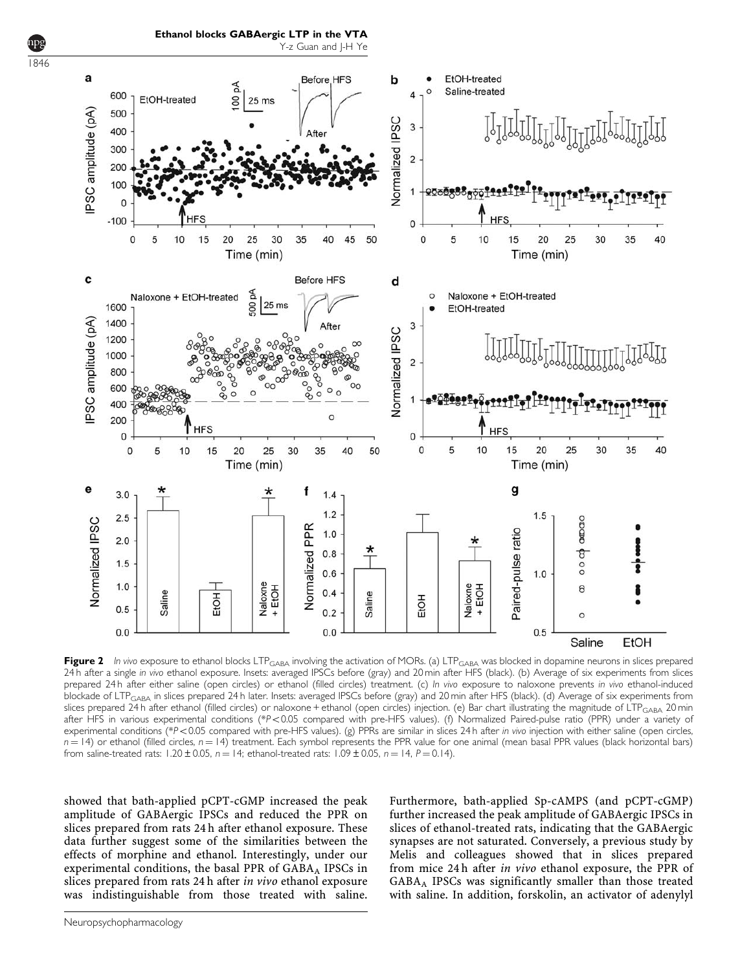<span id="page-5-0"></span>

Figure 2 In vivo exposure to ethanol blocks LTP<sub>GABA</sub> involving the activation of MORs. (a) LTP<sub>GABA</sub> was blocked in dopamine neurons in slices prepared 24 h after a single in vivo ethanol exposure. Insets: averaged IPSCs before (gray) and 20 min after HFS (black). (b) Average of six experiments from slices prepared 24 h after either saline (open circles) or ethanol (filled circles) treatment. (c) In vivo exposure to naloxone prevents in vivo ethanol-induced blockade of LTP<sub>GABA</sub> in slices prepared 24 h later. Insets: averaged IPSCs before (gray) and 20 min after HFS (black). (d) Average of six experiments from slices prepared 24 h after ethanol (filled circles) or naloxone + ethanol (open circles) injection. (e) Bar chart illustrating the magnitude of LTP<sub>GABA</sub> 20 min after HFS in various experimental conditions (\*P<0.05 compared with pre-HFS values). (f) Normalized Paired-pulse ratio (PPR) under a variety of experimental conditions (\*P<0.05 compared with pre-HFS values). (g) PPRs are similar in slices 24 h after in vivo injection with either saline (open circles,  $n = 14$ ) or ethanol (filled circles,  $n = 14$ ) treatment. Each symbol represents the PPR value for one animal (mean basal PPR values (black horizontal bars) from saline-treated rats: 1.20  $\pm$  0.05, n = 14; ethanol-treated rats: 1.09  $\pm$  0.05, n = 14, P = 0.14).

showed that bath-applied pCPT-cGMP increased the peak amplitude of GABAergic IPSCs and reduced the PPR on slices prepared from rats 24 h after ethanol exposure. These data further suggest some of the similarities between the effects of morphine and ethanol. Interestingly, under our experimental conditions, the basal PPR of  $GABA_A$  IPSCs in slices prepared from rats 24 h after in vivo ethanol exposure was indistinguishable from those treated with saline. Furthermore, bath-applied Sp-cAMPS (and pCPT-cGMP) further increased the peak amplitude of GABAergic IPSCs in slices of ethanol-treated rats, indicating that the GABAergic synapses are not saturated. Conversely, a previous study by Melis and colleagues showed that in slices prepared from mice 24 h after in vivo ethanol exposure, the PPR of GABAA IPSCs was significantly smaller than those treated with saline. In addition, forskolin, an activator of adenylyl

1846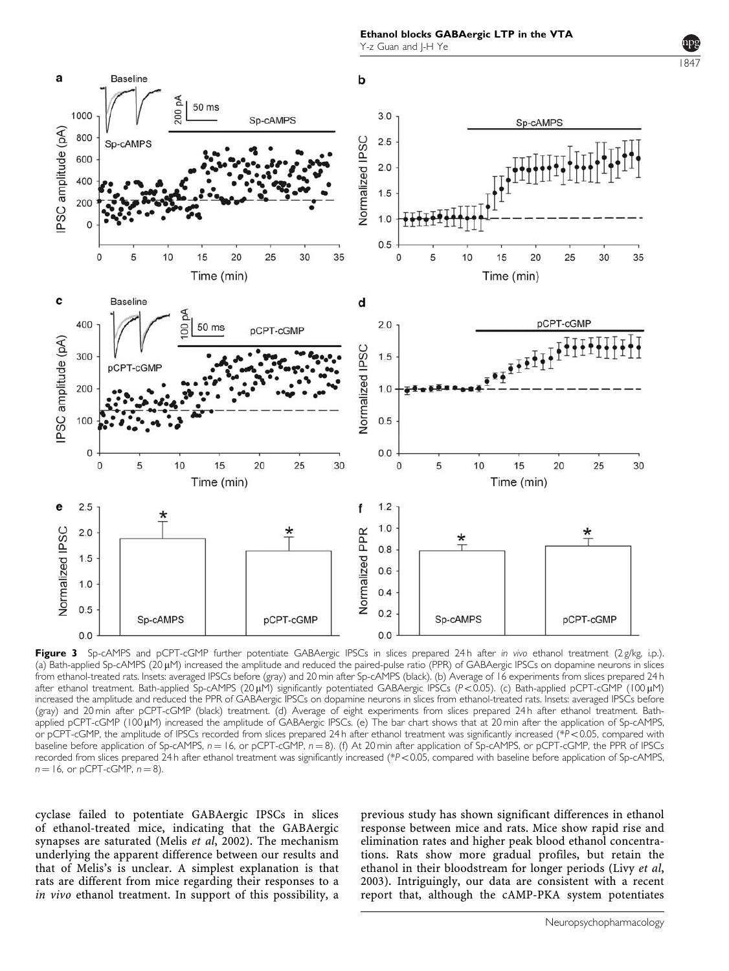1847

<span id="page-6-0"></span>

Figure 3 Sp-cAMPS and pCPT-cGMP further potentiate GABAergic IPSCs in slices prepared 24h after in vivo ethanol treatment (2 g/kg, i.p.). (a) Bath-applied Sp-cAMPS ( $20 \mu$ M) increased the amplitude and reduced the paired-pulse ratio (PPR) of GABAergic IPSCs on dopamine neurons in slices from ethanol-treated rats. Insets: averaged IPSCs before (gray) and 20 min after Sp-cAMPS (black). (b) Average of 16 experiments from slices prepared 24 h after ethanol treatment. Bath-applied Sp-cAMPS (20  $\mu$ M) significantly potentiated GABAergic IPSCs (P<0.05). (c) Bath-applied pCPT-cGMP (100  $\mu$ M) increased the amplitude and reduced the PPR of GABAergic IPSCs on dopamine neurons in slices from ethanol-treated rats. Insets: averaged IPSCs before (gray) and 20 min after pCPT-cGMP (black) treatment. (d) Average of eight experiments from slices prepared 24 h after ethanol treatment. Bathapplied pCPT-cGMP (100 µM) increased the amplitude of GABAergic IPSCs. (e) The bar chart shows that at 20 min after the application of Sp-cAMPS, or pCPT-cGMP, the amplitude of IPSCs recorded from slices prepared 24 h after ethanol treatment was significantly increased (\*P<0.05, compared with baseline before application of Sp-cAMPS,  $n = 16$ , or pCPT-cGMP,  $n = 8$ ). (f) At 20 min after application of Sp-cAMPS, or pCPT-cGMP, the PPR of IPSCs recorded from slices prepared 24 h after ethanol treatment was significantly increased (\*P<0.05, compared with baseline before application of Sp-cAMPS,  $n = 16$ , or pCPT-cGMP,  $n = 8$ ).

cyclase failed to potentiate GABAergic IPSCs in slices of ethanol-treated mice, indicating that the GABAergic synapses are saturated (Melis et al[, 2002\)](#page-7-0). The mechanism underlying the apparent difference between our results and that of Melis's is unclear. A simplest explanation is that rats are different from mice regarding their responses to a in vivo ethanol treatment. In support of this possibility, a previous study has shown significant differences in ethanol response between mice and rats. Mice show rapid rise and elimination rates and higher peak blood ethanol concentrations. Rats show more gradual profiles, but retain the ethanol in their bloodstream for longer periods (Livy [et al](#page-7-0), [2003\)](#page-7-0). Intriguingly, our data are consistent with a recent report that, although the cAMP-PKA system potentiates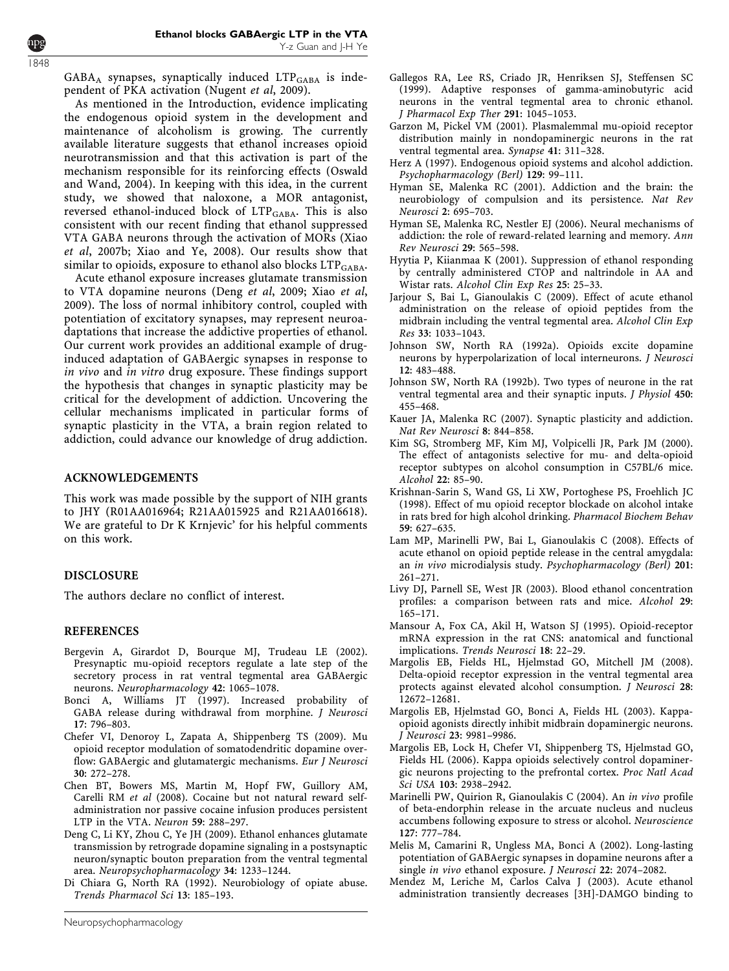<span id="page-7-0"></span> $GABA_A$  synapses, synaptically induced  $LTP_{GABA}$  is independent of PKA activation ([Nugent](#page-8-0) et al, 2009).

As mentioned in the Introduction, evidence implicating the endogenous opioid system in the development and maintenance of alcoholism is growing. The currently available literature suggests that ethanol increases opioid neurotransmission and that this activation is part of the mechanism responsible for its reinforcing effects [\(Oswald](#page-8-0) [and Wand, 2004](#page-8-0)). In keeping with this idea, in the current study, we showed that naloxone, a MOR antagonist, reversed ethanol-induced block of LTP<sub>GABA</sub>. This is also consistent with our recent finding that ethanol suppressed VTA GABA neurons through the activation of MORs [\(Xiao](#page-8-0) et al[, 2007b](#page-8-0); [Xiao and Ye, 2008](#page-8-0)). Our results show that similar to opioids, exposure to ethanol also blocks  $LTP_{GABA}$ .

Acute ethanol exposure increases glutamate transmission to VTA dopamine neurons (Deng et al, 2009; Xiao [et al](#page-8-0), [2009](#page-8-0)). The loss of normal inhibitory control, coupled with potentiation of excitatory synapses, may represent neuroadaptations that increase the addictive properties of ethanol. Our current work provides an additional example of druginduced adaptation of GABAergic synapses in response to in vivo and in vitro drug exposure. These findings support the hypothesis that changes in synaptic plasticity may be critical for the development of addiction. Uncovering the cellular mechanisms implicated in particular forms of synaptic plasticity in the VTA, a brain region related to addiction, could advance our knowledge of drug addiction.

#### ACKNOWLEDGEMENTS

This work was made possible by the support of NIH grants to JHY (R01AA016964; R21AA015925 and R21AA016618). We are grateful to Dr K Krnjevic' for his helpful comments on this work.

#### DISCLOSURE

The authors declare no conflict of interest.

## REFERENCES

- Bergevin A, Girardot D, Bourque MJ, Trudeau LE (2002). Presynaptic mu-opioid receptors regulate a late step of the secretory process in rat ventral tegmental area GABAergic neurons. Neuropharmacology 42: 1065–1078.
- Bonci A, Williams JT (1997). Increased probability of GABA release during withdrawal from morphine. J Neurosci 17: 796–803.
- Chefer VI, Denoroy L, Zapata A, Shippenberg TS (2009). Mu opioid receptor modulation of somatodendritic dopamine overflow: GABAergic and glutamatergic mechanisms. Eur J Neurosci 30: 272–278.
- Chen BT, Bowers MS, Martin M, Hopf FW, Guillory AM, Carelli RM et al (2008). Cocaine but not natural reward selfadministration nor passive cocaine infusion produces persistent LTP in the VTA. Neuron 59: 288–297.
- Deng C, Li KY, Zhou C, Ye JH (2009). Ethanol enhances glutamate transmission by retrograde dopamine signaling in a postsynaptic neuron/synaptic bouton preparation from the ventral tegmental area. Neuropsychopharmacology 34: 1233–1244.
- Di Chiara G, North RA (1992). Neurobiology of opiate abuse. Trends Pharmacol Sci 13: 185–193.
- Garzon M, Pickel VM (2001). Plasmalemmal mu-opioid receptor distribution mainly in nondopaminergic neurons in the rat ventral tegmental area. Synapse 41: 311–328.
- Herz A (1997). Endogenous opioid systems and alcohol addiction. Psychopharmacology (Berl) 129: 99–111.
- Hyman SE, Malenka RC (2001). Addiction and the brain: the neurobiology of compulsion and its persistence. Nat Rev Neurosci 2: 695–703.
- Hyman SE, Malenka RC, Nestler EJ (2006). Neural mechanisms of addiction: the role of reward-related learning and memory. Ann Rev Neurosci 29: 565–598.
- Hyytia P, Kiianmaa K (2001). Suppression of ethanol responding by centrally administered CTOP and naltrindole in AA and Wistar rats. Alcohol Clin Exp Res 25: 25–33.
- Jarjour S, Bai L, Gianoulakis C (2009). Effect of acute ethanol administration on the release of opioid peptides from the midbrain including the ventral tegmental area. Alcohol Clin Exp Res 33: 1033–1043.
- Johnson SW, North RA (1992a). Opioids excite dopamine neurons by hyperpolarization of local interneurons. J Neurosci 12: 483–488.
- Johnson SW, North RA (1992b). Two types of neurone in the rat ventral tegmental area and their synaptic inputs. J Physiol 450: 455–468.
- Kauer JA, Malenka RC (2007). Synaptic plasticity and addiction. Nat Rev Neurosci 8: 844–858.
- Kim SG, Stromberg MF, Kim MJ, Volpicelli JR, Park JM (2000). The effect of antagonists selective for mu- and delta-opioid receptor subtypes on alcohol consumption in C57BL/6 mice. Alcohol 22: 85–90.
- Krishnan-Sarin S, Wand GS, Li XW, Portoghese PS, Froehlich JC (1998). Effect of mu opioid receptor blockade on alcohol intake in rats bred for high alcohol drinking. Pharmacol Biochem Behav 59: 627–635.
- Lam MP, Marinelli PW, Bai L, Gianoulakis C (2008). Effects of acute ethanol on opioid peptide release in the central amygdala: an in vivo microdialysis study. Psychopharmacology (Berl) 201: 261–271.
- Livy DJ, Parnell SE, West JR (2003). Blood ethanol concentration profiles: a comparison between rats and mice. Alcohol 29: 165–171.
- Mansour A, Fox CA, Akil H, Watson SJ (1995). Opioid-receptor mRNA expression in the rat CNS: anatomical and functional implications. Trends Neurosci 18: 22–29.
- Margolis EB, Fields HL, Hjelmstad GO, Mitchell JM (2008). Delta-opioid receptor expression in the ventral tegmental area protects against elevated alcohol consumption. J Neurosci 28: 12672–12681.
- Margolis EB, Hjelmstad GO, Bonci A, Fields HL (2003). Kappaopioid agonists directly inhibit midbrain dopaminergic neurons. J Neurosci 23: 9981–9986.
- Margolis EB, Lock H, Chefer VI, Shippenberg TS, Hjelmstad GO, Fields HL (2006). Kappa opioids selectively control dopaminergic neurons projecting to the prefrontal cortex. Proc Natl Acad Sci USA 103: 2938–2942.
- Marinelli PW, Quirion R, Gianoulakis C (2004). An in vivo profile of beta-endorphin release in the arcuate nucleus and nucleus accumbens following exposure to stress or alcohol. Neuroscience 127: 777–784.
- Melis M, Camarini R, Ungless MA, Bonci A (2002). Long-lasting potentiation of GABAergic synapses in dopamine neurons after a single in vivo ethanol exposure. J Neurosci 22: 2074–2082.
- Mendez M, Leriche M, Carlos Calva J (2003). Acute ethanol administration transiently decreases [3H]-DAMGO binding to